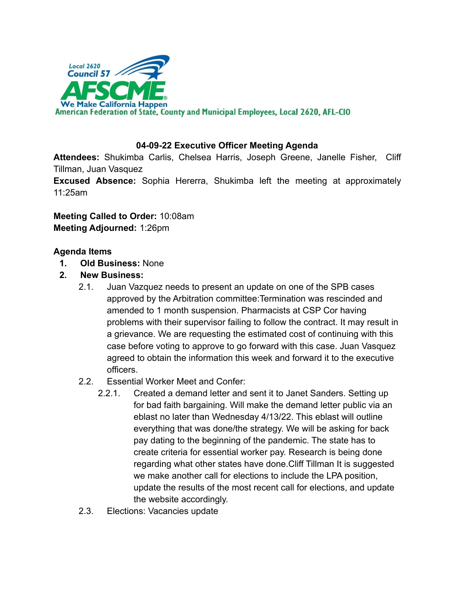

## **04-09-22 Executive Officer Meeting Agenda**

**Attendees:** Shukimba Carlis, Chelsea Harris, Joseph Greene, Janelle Fisher, Cliff Tillman, Juan Vasquez

**Excused Absence:** Sophia Hererra, Shukimba left the meeting at approximately 11:25am

**Meeting Called to Order:** 10:08am **Meeting Adjourned:** 1:26pm

## **Agenda Items**

- **1. Old Business:** None
- **2. New Business:**
	- 2.1. Juan Vazquez needs to present an update on one of the SPB cases approved by the Arbitration committee:Termination was rescinded and amended to 1 month suspension. Pharmacists at CSP Cor having problems with their supervisor failing to follow the contract. It may result in a grievance. We are requesting the estimated cost of continuing with this case before voting to approve to go forward with this case. Juan Vasquez agreed to obtain the information this week and forward it to the executive officers.
	- 2.2. Essential Worker Meet and Confer:
		- 2.2.1. Created a demand letter and sent it to Janet Sanders. Setting up for bad faith bargaining. Will make the demand letter public via an eblast no later than Wednesday 4/13/22. This eblast will outline everything that was done/the strategy. We will be asking for back pay dating to the beginning of the pandemic. The state has to create criteria for essential worker pay. Research is being done regarding what other states have done.Cliff Tillman It is suggested we make another call for elections to include the LPA position, update the results of the most recent call for elections, and update the website accordingly.
	- 2.3. Elections: Vacancies update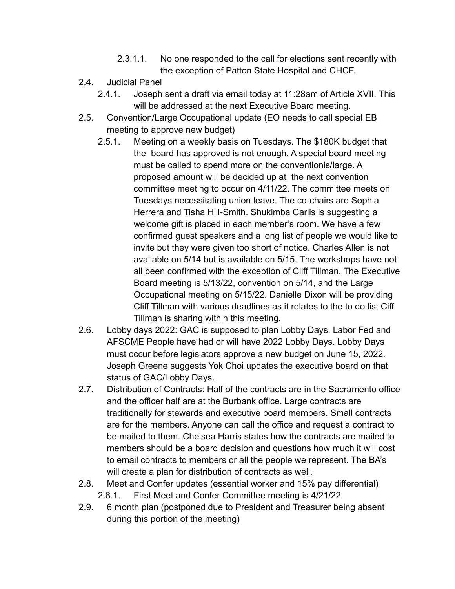- 2.3.1.1. No one responded to the call for elections sent recently with the exception of Patton State Hospital and CHCF.
- 2.4. Judicial Panel
	- 2.4.1. Joseph sent a draft via email today at 11:28am of Article XVII. This will be addressed at the next Executive Board meeting.
- 2.5. Convention/Large Occupational update (EO needs to call special EB meeting to approve new budget)
	- 2.5.1. Meeting on a weekly basis on Tuesdays. The \$180K budget that the board has approved is not enough. A special board meeting must be called to spend more on the conventionis/large. A proposed amount will be decided up at the next convention committee meeting to occur on 4/11/22. The committee meets on Tuesdays necessitating union leave. The co-chairs are Sophia Herrera and Tisha Hill-Smith. Shukimba Carlis is suggesting a welcome gift is placed in each member's room. We have a few confirmed guest speakers and a long list of people we would like to invite but they were given too short of notice. Charles Allen is not available on 5/14 but is available on 5/15. The workshops have not all been confirmed with the exception of Cliff Tillman. The Executive Board meeting is 5/13/22, convention on 5/14, and the Large Occupational meeting on 5/15/22. Danielle Dixon will be providing Cliff Tillman with various deadlines as it relates to the to do list Ciff Tillman is sharing within this meeting.
- 2.6. Lobby days 2022: GAC is supposed to plan Lobby Days. Labor Fed and AFSCME People have had or will have 2022 Lobby Days. Lobby Days must occur before legislators approve a new budget on June 15, 2022. Joseph Greene suggests Yok Choi updates the executive board on that status of GAC/Lobby Days.
- 2.7. Distribution of Contracts: Half of the contracts are in the Sacramento office and the officer half are at the Burbank office. Large contracts are traditionally for stewards and executive board members. Small contracts are for the members. Anyone can call the office and request a contract to be mailed to them. Chelsea Harris states how the contracts are mailed to members should be a board decision and questions how much it will cost to email contracts to members or all the people we represent. The BA's will create a plan for distribution of contracts as well.
- 2.8. Meet and Confer updates (essential worker and 15% pay differential) 2.8.1. First Meet and Confer Committee meeting is 4/21/22
- 2.9. 6 month plan (postponed due to President and Treasurer being absent during this portion of the meeting)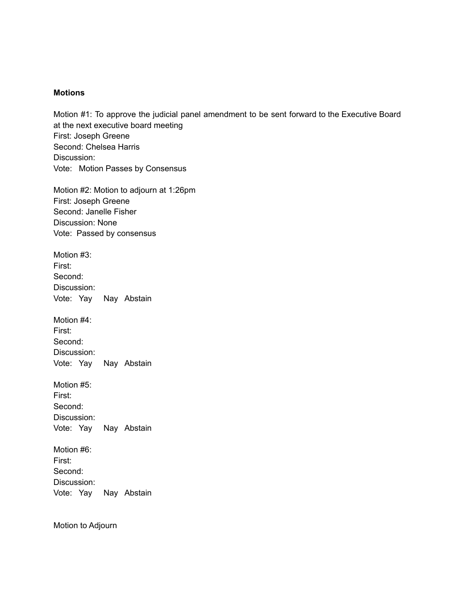## **Motions**

Motion #1: To approve the judicial panel amendment to be sent forward to the Executive Board at the next executive board meeting First: Joseph Greene Second: Chelsea Harris Discussion: Vote: Motion Passes by Consensus

Motion #2: Motion to adjourn at 1:26pm First: Joseph Greene Second: Janelle Fisher Discussion: None Vote: Passed by consensus

Motion #3: First: Second: Discussion: Vote: Yay Nay Abstain

Motion #4: First: Second: Discussion: Vote: Yay Nay Abstain

Motion #5:

First: Second: Discussion: Vote: Yay Nay Abstain

Motion #6: First: Second: Discussion: Vote: Yay Nay Abstain

Motion to Adjourn